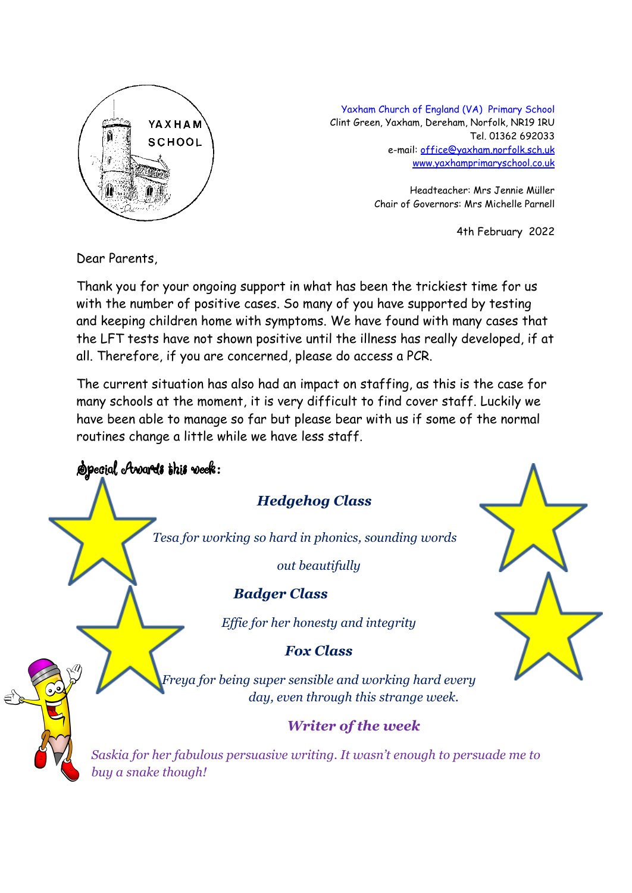

Yaxham Church of England (VA) Primary School Clint Green, Yaxham, Dereham, Norfolk, NR19 1RU Tel. 01362 692033 e-mail: [office@yaxham.norfolk.sch.uk](mailto:office@yaxham.norfolk.sch.uk) [www.yaxhamprimaryschool.co.uk](http://www.yaxhamprimaryschool.co.uk)

> Headteacher: Mrs Jennie Müller Chair of Governors: Mrs Michelle Parnell

> > 4th February 2022

Dear Parents,

Thank you for your ongoing support in what has been the trickiest time for us with the number of positive cases. So many of you have supported by testing and keeping children home with symptoms. We have found with many cases that the LFT tests have not shown positive until the illness has really developed, if at all. Therefore, if you are concerned, please do access a PCR.

The current situation has also had an impact on staffing, as this is the case for many schools at the moment, it is very difficult to find cover staff. Luckily we have been able to manage so far but please bear with us if some of the normal routines change a little while we have less staff.

Special Awards this week: *Hedgehog Class Tesa for working so hard in phonics, sounding words out beautifully Badger Class Effie for her honesty and integrity Fox Class Freya for being super sensible and working hard every day, even through this strange week. Writer of the week Saskia for her fabulous persuasive writing. It wasn't enough to persuade me to buy a snake though!*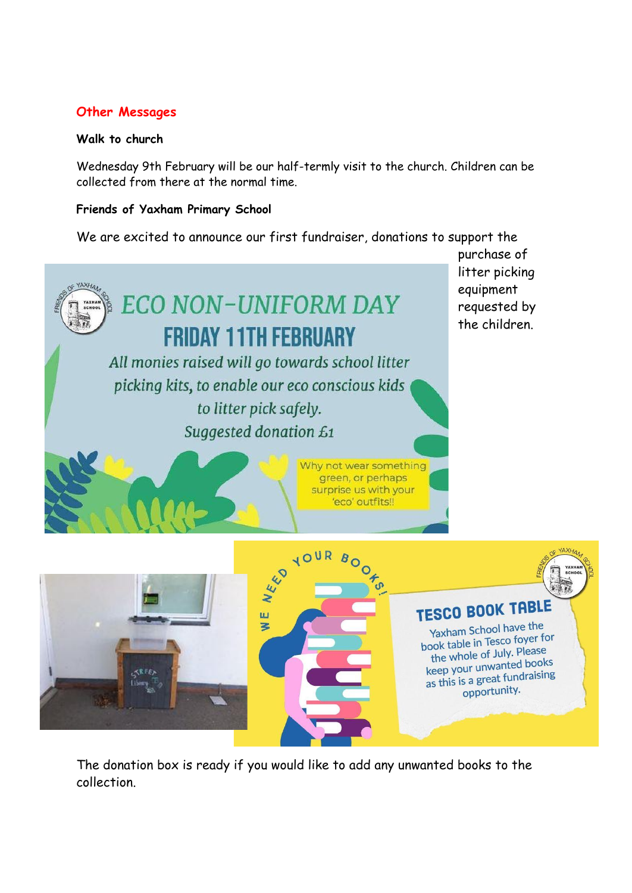## **Other Messages**

#### **Walk to church**

Wednesday 9th February will be our half-termly visit to the church. Children can be collected from there at the normal time.

#### **Friends of Yaxham Primary School**

We are excited to announce our first fundraiser, donations to support the



The donation box is ready if you would like to add any unwanted books to the collection.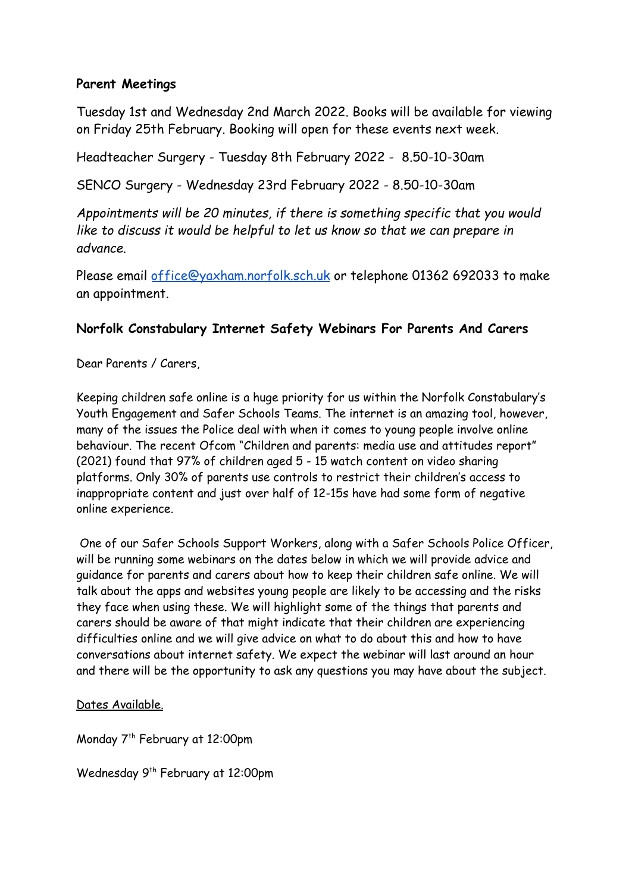### **Parent Meetings**

Tuesday 1st and Wednesday 2nd March 2022. Books will be available for viewing on Friday 25th February. Booking will open for these events next week.

Headteacher Surgery - Tuesday 8th February 2022 - 8.50-10-30am

SENCO Surgery - Wednesday 23rd February 2022 - 8.50-10-30am

*Appointments will be 20 minutes, if there is something specific that you would like to discuss it would be helpful to let us know so that we can prepare in advance.*

Please email [office@yaxham.norfolk.sch.uk](mailto:office@yaxham.norfolk.sch.uk) or telephone 01362 692033 to make an appointment.

# **Norfolk Constabulary Internet Safety Webinars For Parents And Carers**

Dear Parents / Carers,

Keeping children safe online is a huge priority for us within the Norfolk Constabulary's Youth Engagement and Safer Schools Teams. The internet is an amazing tool, however, many of the issues the Police deal with when it comes to young people involve online behaviour. The recent Ofcom "Children and parents: media use and attitudes report" (2021) found that 97% of children aged 5 - 15 watch content on video sharing platforms. Only 30% of parents use controls to restrict their children's access to inappropriate content and just over half of 12-15s have had some form of negative online experience.

One of our Safer Schools Support Workers, along with a Safer Schools Police Officer, will be running some webinars on the dates below in which we will provide advice and guidance for parents and carers about how to keep their children safe online. We will talk about the apps and websites young people are likely to be accessing and the risks they face when using these. We will highlight some of the things that parents and carers should be aware of that might indicate that their children are experiencing difficulties online and we will give advice on what to do about this and how to have conversations about internet safety. We expect the webinar will last around an hour and there will be the opportunity to ask any questions you may have about the subject.

Dates Available.

Monday 7 th February at 12:00pm

Wednesday 9 th February at 12:00pm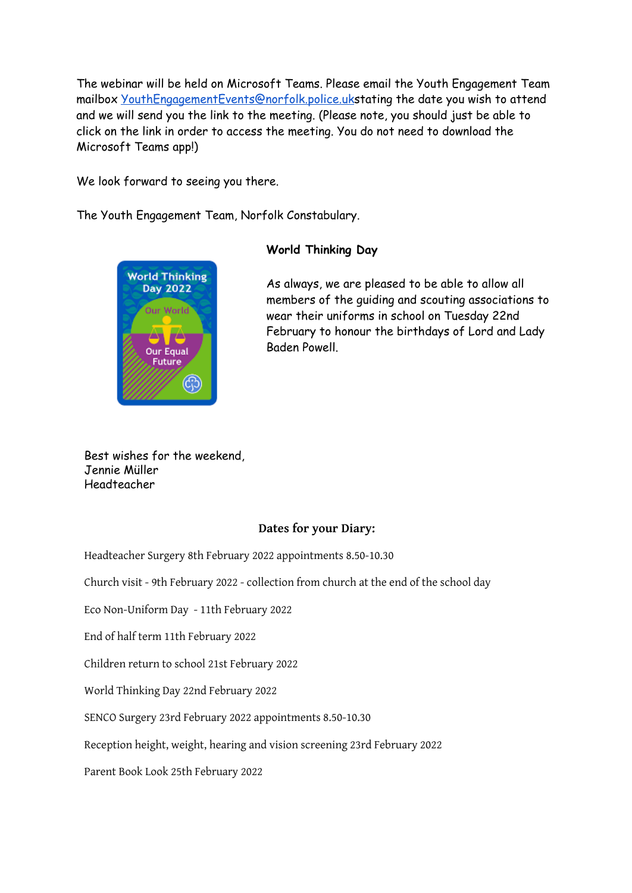The webinar will be held on Microsoft Teams. Please email the Youth Engagement Team mailbox [YouthEngagementEvents@norfolk.police.uk](mailto:YouthEngagementEvents@norfolk.police.uk)stating the date you wish to attend and we will send you the link to the meeting. (Please note, you should just be able to click on the link in order to access the meeting. You do not need to download the Microsoft Teams app!)

We look forward to seeing you there.

The Youth Engagement Team, Norfolk Constabulary.



#### **World Thinking Day**

As always, we are pleased to be able to allow all members of the guiding and scouting associations to wear their uniforms in school on Tuesday 22nd February to honour the birthdays of Lord and Lady Baden Powell.

Best wishes for the weekend, Jennie Müller Headteacher

#### **Dates for your Diary:**

Headteacher Surgery 8th February 2022 appointments 8.50-10.30

Church visit - 9th February 2022 - collection from church at the end of the school day

Eco Non-Uniform Day - 11th February 2022

End of half term 11th February 2022

Children return to school 21st February 2022

World Thinking Day 22nd February 2022

SENCO Surgery 23rd February 2022 appointments 8.50-10.30

Reception height, weight, hearing and vision screening 23rd February 2022

Parent Book Look 25th February 2022